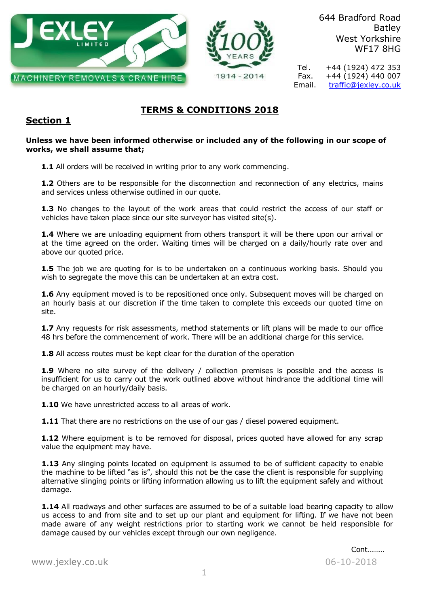



644 Bradford Road Batley West Yorkshire WF17 8HG

Tel. +44 (1924) 472 353 Fax.  $+44 (1924) 440 007$ Email. [traffic@jexley.co.uk](mailto:traffic@jexley.co.uk)

# **TERMS & CONDITIONS 2018**

# **Section 1**

### **Unless we have been informed otherwise or included any of the following in our scope of works, we shall assume that;**

**1.1** All orders will be received in writing prior to any work commencing.

1.2 Others are to be responsible for the disconnection and reconnection of any electrics, mains and services unless otherwise outlined in our quote.

**1.3** No changes to the layout of the work areas that could restrict the access of our staff or vehicles have taken place since our site surveyor has visited site(s).

**1.4** Where we are unloading equipment from others transport it will be there upon our arrival or at the time agreed on the order. Waiting times will be charged on a daily/hourly rate over and above our quoted price.

**1.5** The job we are quoting for is to be undertaken on a continuous working basis. Should you wish to segregate the move this can be undertaken at an extra cost.

1.6 Any equipment moved is to be repositioned once only. Subsequent moves will be charged on an hourly basis at our discretion if the time taken to complete this exceeds our quoted time on site.

**1.7** Any requests for risk assessments, method statements or lift plans will be made to our office 48 hrs before the commencement of work. There will be an additional charge for this service.

**1.8** All access routes must be kept clear for the duration of the operation

**1.9** Where no site survey of the delivery / collection premises is possible and the access is insufficient for us to carry out the work outlined above without hindrance the additional time will be charged on an hourly/daily basis.

**1.10** We have unrestricted access to all areas of work.

**1.11** That there are no restrictions on the use of our gas / diesel powered equipment.

**1.12** Where equipment is to be removed for disposal, prices quoted have allowed for any scrap value the equipment may have.

**1.13** Any slinging points located on equipment is assumed to be of sufficient capacity to enable the machine to be lifted "as is", should this not be the case the client is responsible for supplying alternative slinging points or lifting information allowing us to lift the equipment safely and without damage.

**1.14** All roadways and other surfaces are assumed to be of a suitable load bearing capacity to allow us access to and from site and to set up our plant and equipment for lifting. If we have not been made aware of any weight restrictions prior to starting work we cannot be held responsible for damage caused by our vehicles except through our own negligence.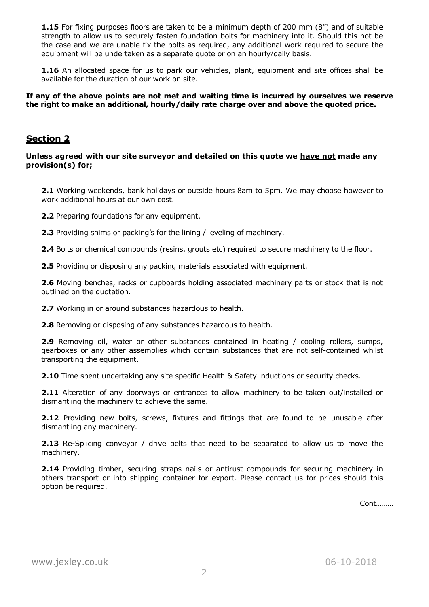**1.15** For fixing purposes floors are taken to be a minimum depth of 200 mm (8") and of suitable strength to allow us to securely fasten foundation bolts for machinery into it. Should this not be the case and we are unable fix the bolts as required, any additional work required to secure the equipment will be undertaken as a separate quote or on an hourly/daily basis.

**1.16** An allocated space for us to park our vehicles, plant, equipment and site offices shall be available for the duration of our work on site.

**If any of the above points are not met and waiting time is incurred by ourselves we reserve the right to make an additional, hourly/daily rate charge over and above the quoted price.**

### **Section 2**

**Unless agreed with our site surveyor and detailed on this quote we have not made any provision(s) for;**

**2.1** Working weekends, bank holidays or outside hours 8am to 5pm. We may choose however to work additional hours at our own cost.

**2.2** Preparing foundations for any equipment.

**2.3** Providing shims or packing's for the lining / leveling of machinery.

**2.4** Bolts or chemical compounds (resins, grouts etc) required to secure machinery to the floor.

**2.5** Providing or disposing any packing materials associated with equipment.

**2.6** Moving benches, racks or cupboards holding associated machinery parts or stock that is not outlined on the quotation.

**2.7** Working in or around substances hazardous to health.

**2.8** Removing or disposing of any substances hazardous to health.

**2.9** Removing oil, water or other substances contained in heating / cooling rollers, sumps, gearboxes or any other assemblies which contain substances that are not self-contained whilst transporting the equipment.

**2.10** Time spent undertaking any site specific Health & Safety inductions or security checks.

**2.11** Alteration of any doorways or entrances to allow machinery to be taken out/installed or dismantling the machinery to achieve the same.

2.12 Providing new bolts, screws, fixtures and fittings that are found to be unusable after dismantling any machinery.

**2.13** Re-Splicing conveyor / drive belts that need to be separated to allow us to move the machinery.

**2.14** Providing timber, securing straps nails or antirust compounds for securing machinery in others transport or into shipping container for export. Please contact us for prices should this option be required.

Cont………